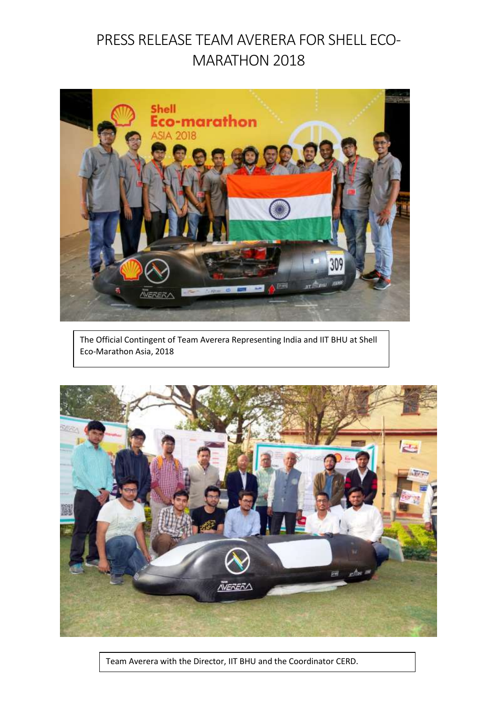## PRESS RELEASE TEAM AVERERA FOR SHELL ECO-MARATHON 2018



The Official Contingent of Team Averera Representing India and IIT BHU at Shell Eco-Marathon Asia, 2018



Team Averera with the Director, IIT BHU and the Coordinator CERD.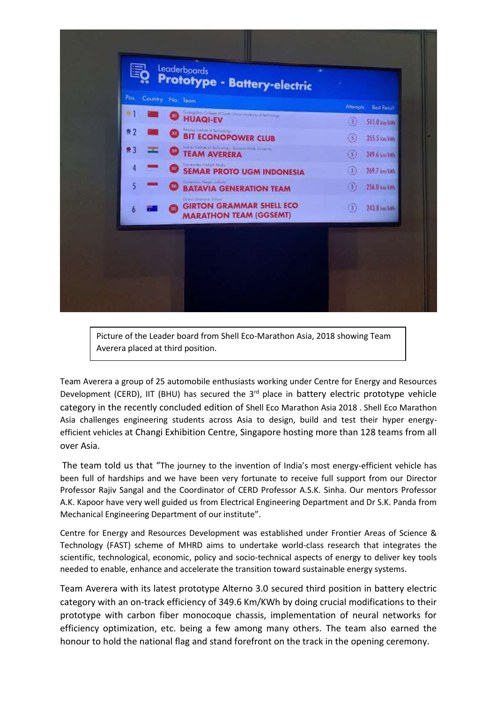

Picture of the Leader board from Shell Eco-Marathon Asia, 2018 showing Team Averera placed at third position.

Team Averera a group of 25 automobile enthusiasts working under Centre for Energy and Resources Development (CERD), IIT (BHU) has secured the 3<sup>rd</sup> place in battery electric prototype vehicle category in the recently concluded edition of Shell Eco Marathon Asia 2018 . Shell Eco Marathon Asia challenges engineering students across Asia to design, build and test their hyper energyefficient vehicles at Changi Exhibition Centre, Singapore hosting more than 128 teams from all over Asia.

The team told us that "The journey to the invention of India's most energy-efficient vehicle has been full of hardships and we have been very fortunate to receive full support from our Director Professor Rajiv Sangal and the Coordinator of CERD Professor A.S.K. Sinha. Our mentors Professor A.K. Kapoor have very well guided us from Electrical Engineering Department and Dr S.K. Panda from Mechanical Engineering Department of our institute".

Centre for Energy and Resources Development was established under Frontier Areas of Science & Technology (FAST) scheme of MHRD aims to undertake world-class research that integrates the scientific, technological, economic, policy and socio-technical aspects of energy to deliver key tools needed to enable, enhance and accelerate the transition toward sustainable energy systems.

Team Averera with its latest prototype Alterno 3.0 secured third position in battery electric category with an on-track efficiency of 349.6 Km/KWh by doing crucial modifications to their prototype with carbon fiber monocoque chassis, implementation of neural networks for efficiency optimization, etc. being a few among many others. The team also earned the honour to hold the national flag and stand forefront on the track in the opening ceremony.